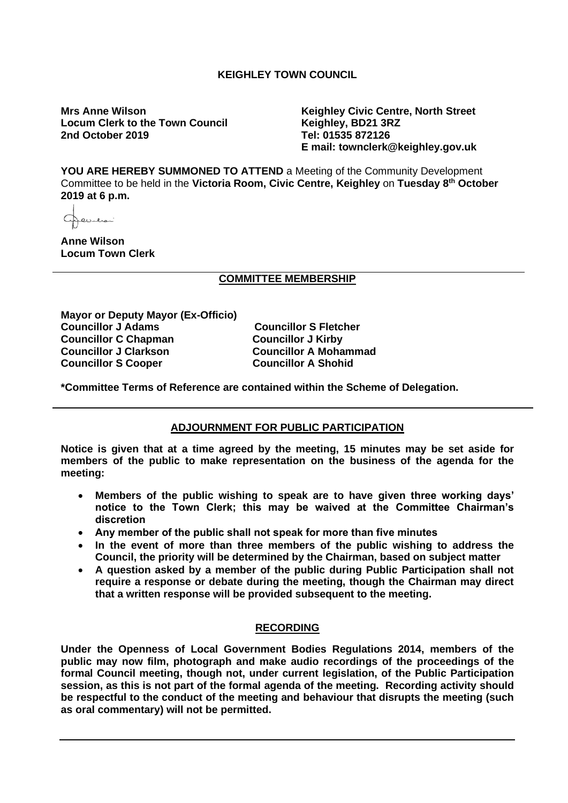## **KEIGHLEY TOWN COUNCIL**

**Locum Clerk to the Town Council 2nd October 2019 Tel: 01535 872126**

**Mrs Anne Wilson Keighley Civic Centre, North Street E mail: townclerk@keighley.gov.uk**

**YOU ARE HEREBY SUMMONED TO ATTEND** a Meeting of the Community Development Committee to be held in the **Victoria Room, Civic Centre, Keighley** on **Tuesday 8th October 2019 at 6 p.m.**

تتصعدنك

**Anne Wilson Locum Town Clerk**

## **COMMITTEE MEMBERSHIP**

**Mayor or Deputy Mayor (Ex-Officio) Councillor J Adams Councillor S Fletcher Councillor C Chapman**<br>**Councillor J Clarkson Councillor S Cooper** 

**Councillor A Mohammad<br>Councillor A Shohid** 

**\*Committee Terms of Reference are contained within the Scheme of Delegation.**

## **ADJOURNMENT FOR PUBLIC PARTICIPATION**

**Notice is given that at a time agreed by the meeting, 15 minutes may be set aside for members of the public to make representation on the business of the agenda for the meeting:**

- **Members of the public wishing to speak are to have given three working days' notice to the Town Clerk; this may be waived at the Committee Chairman's discretion**
- **Any member of the public shall not speak for more than five minutes**
- **In the event of more than three members of the public wishing to address the Council, the priority will be determined by the Chairman, based on subject matter**
- **A question asked by a member of the public during Public Participation shall not require a response or debate during the meeting, though the Chairman may direct that a written response will be provided subsequent to the meeting.**

## **RECORDING**

**Under the Openness of Local Government Bodies Regulations 2014, members of the public may now film, photograph and make audio recordings of the proceedings of the formal Council meeting, though not, under current legislation, of the Public Participation session, as this is not part of the formal agenda of the meeting. Recording activity should be respectful to the conduct of the meeting and behaviour that disrupts the meeting (such as oral commentary) will not be permitted.**